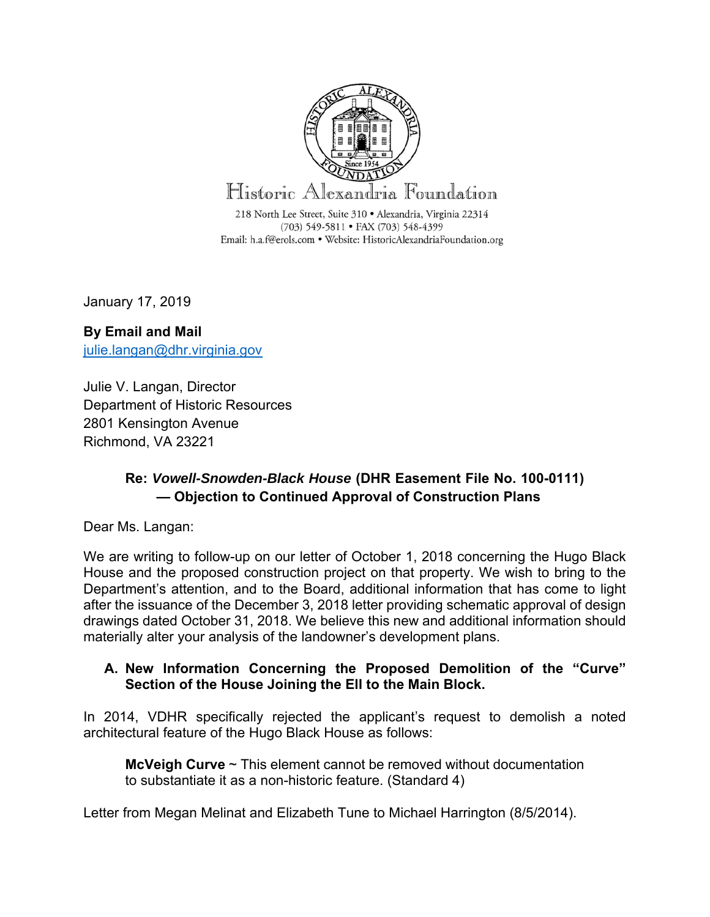

January 17, 2019

# **By Email and Mail**  julie.langan@dhr.virginia.gov

Julie V. Langan, Director Department of Historic Resources 2801 Kensington Avenue Richmond, VA 23221

## **Re:** *Vowell-Snowden-Black House* **(DHR Easement File No. 100-0111) — Objection to Continued Approval of Construction Plans**

Dear Ms. Langan:

We are writing to follow-up on our letter of October 1, 2018 concerning the Hugo Black House and the proposed construction project on that property. We wish to bring to the Department's attention, and to the Board, additional information that has come to light after the issuance of the December 3, 2018 letter providing schematic approval of design drawings dated October 31, 2018. We believe this new and additional information should materially alter your analysis of the landowner's development plans.

#### **A. New Information Concerning the Proposed Demolition of the "Curve" Section of the House Joining the Ell to the Main Block.**

In 2014, VDHR specifically rejected the applicant's request to demolish a noted architectural feature of the Hugo Black House as follows:

**McVeigh Curve** ~ This element cannot be removed without documentation to substantiate it as a non-historic feature. (Standard 4)

Letter from Megan Melinat and Elizabeth Tune to Michael Harrington (8/5/2014).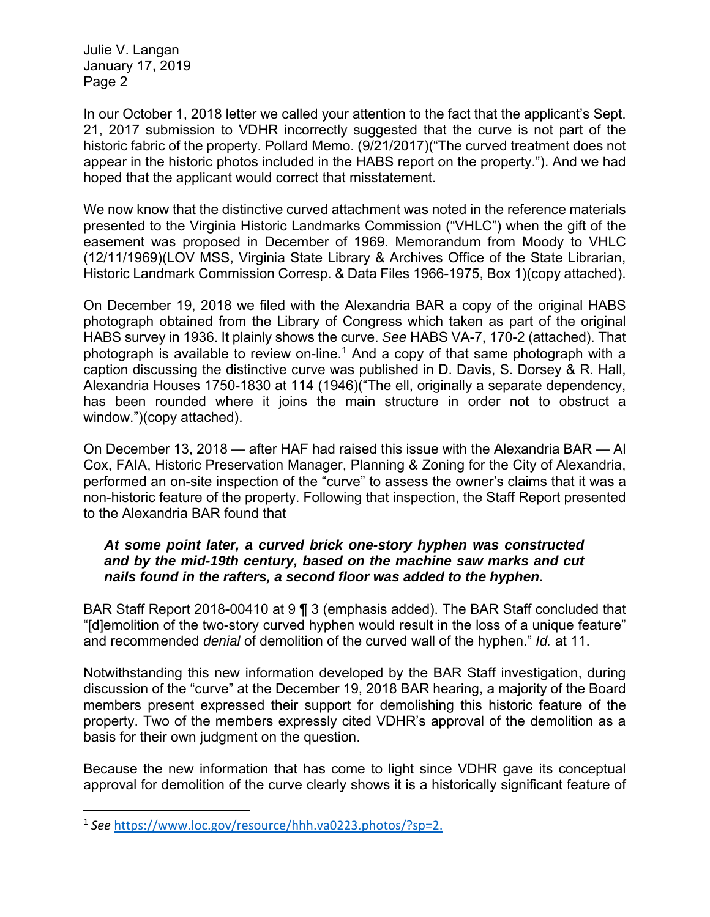In our October 1, 2018 letter we called your attention to the fact that the applicant's Sept. 21, 2017 submission to VDHR incorrectly suggested that the curve is not part of the historic fabric of the property. Pollard Memo. (9/21/2017)("The curved treatment does not appear in the historic photos included in the HABS report on the property."). And we had hoped that the applicant would correct that misstatement.

We now know that the distinctive curved attachment was noted in the reference materials presented to the Virginia Historic Landmarks Commission ("VHLC") when the gift of the easement was proposed in December of 1969. Memorandum from Moody to VHLC (12/11/1969)(LOV MSS, Virginia State Library & Archives Office of the State Librarian, Historic Landmark Commission Corresp. & Data Files 1966-1975, Box 1)(copy attached).

On December 19, 2018 we filed with the Alexandria BAR a copy of the original HABS photograph obtained from the Library of Congress which taken as part of the original HABS survey in 1936. It plainly shows the curve. *See* HABS VA-7, 170-2 (attached). That photograph is available to review on-line.<sup>1</sup> And a copy of that same photograph with a caption discussing the distinctive curve was published in D. Davis, S. Dorsey & R. Hall, Alexandria Houses 1750-1830 at 114 (1946)("The ell, originally a separate dependency, has been rounded where it joins the main structure in order not to obstruct a window.")(copy attached).

On December 13, 2018 — after HAF had raised this issue with the Alexandria BAR — Al Cox, FAIA, Historic Preservation Manager, Planning & Zoning for the City of Alexandria, performed an on-site inspection of the "curve" to assess the owner's claims that it was a non-historic feature of the property. Following that inspection, the Staff Report presented to the Alexandria BAR found that

#### *At some point later, a curved brick one-story hyphen was constructed and by the mid-19th century, based on the machine saw marks and cut nails found in the rafters, a second floor was added to the hyphen.*

BAR Staff Report 2018-00410 at 9 ¶ 3 (emphasis added). The BAR Staff concluded that "[d]emolition of the two-story curved hyphen would result in the loss of a unique feature" and recommended *denial* of demolition of the curved wall of the hyphen." *Id.* at 11.

Notwithstanding this new information developed by the BAR Staff investigation, during discussion of the "curve" at the December 19, 2018 BAR hearing, a majority of the Board members present expressed their support for demolishing this historic feature of the property. Two of the members expressly cited VDHR's approval of the demolition as a basis for their own judgment on the question.

Because the new information that has come to light since VDHR gave its conceptual approval for demolition of the curve clearly shows it is a historically significant feature of

<sup>1</sup> *See* https://www.loc.gov/resource/hhh.va0223.photos/?sp=2.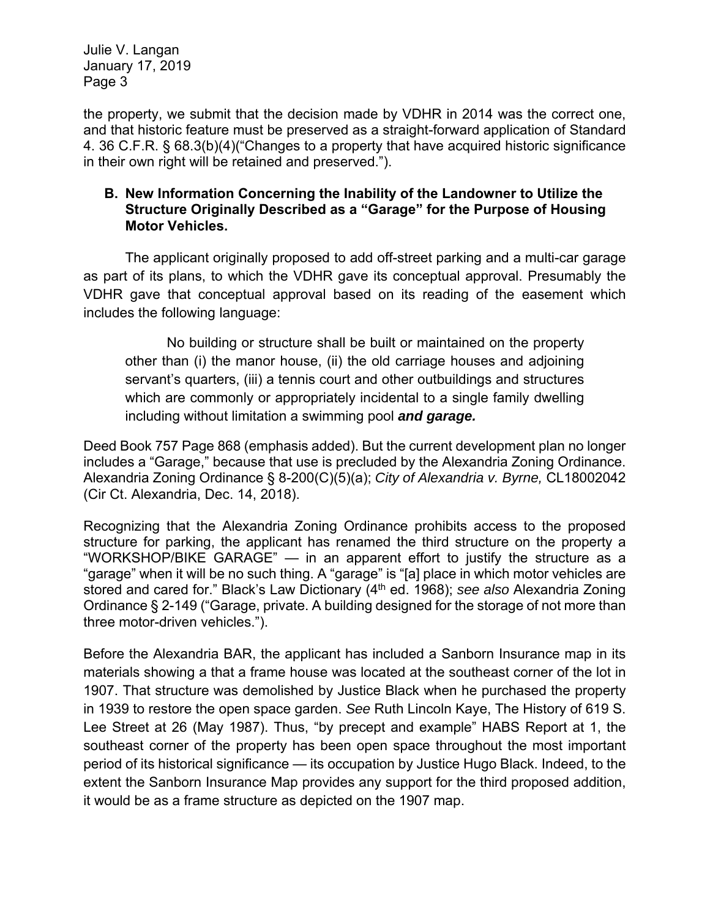the property, we submit that the decision made by VDHR in 2014 was the correct one, and that historic feature must be preserved as a straight-forward application of Standard 4. 36 C.F.R. § 68.3(b)(4)("Changes to a property that have acquired historic significance in their own right will be retained and preserved.").

#### **B. New Information Concerning the Inability of the Landowner to Utilize the Structure Originally Described as a "Garage" for the Purpose of Housing Motor Vehicles.**

The applicant originally proposed to add off-street parking and a multi-car garage as part of its plans, to which the VDHR gave its conceptual approval. Presumably the VDHR gave that conceptual approval based on its reading of the easement which includes the following language:

No building or structure shall be built or maintained on the property other than (i) the manor house, (ii) the old carriage houses and adjoining servant's quarters, (iii) a tennis court and other outbuildings and structures which are commonly or appropriately incidental to a single family dwelling including without limitation a swimming pool *and garage.*

Deed Book 757 Page 868 (emphasis added). But the current development plan no longer includes a "Garage," because that use is precluded by the Alexandria Zoning Ordinance. Alexandria Zoning Ordinance § 8-200(C)(5)(a); *City of Alexandria v. Byrne,* CL18002042 (Cir Ct. Alexandria, Dec. 14, 2018).

Recognizing that the Alexandria Zoning Ordinance prohibits access to the proposed structure for parking, the applicant has renamed the third structure on the property a "WORKSHOP/BIKE GARAGE" — in an apparent effort to justify the structure as a "garage" when it will be no such thing. A "garage" is "[a] place in which motor vehicles are stored and cared for." Black's Law Dictionary (4<sup>th</sup> ed. 1968); see also Alexandria Zoning Ordinance § 2-149 ("Garage, private. A building designed for the storage of not more than three motor-driven vehicles.").

Before the Alexandria BAR, the applicant has included a Sanborn Insurance map in its materials showing a that a frame house was located at the southeast corner of the lot in 1907. That structure was demolished by Justice Black when he purchased the property in 1939 to restore the open space garden. *See* Ruth Lincoln Kaye, The History of 619 S. Lee Street at 26 (May 1987). Thus, "by precept and example" HABS Report at 1, the southeast corner of the property has been open space throughout the most important period of its historical significance — its occupation by Justice Hugo Black. Indeed, to the extent the Sanborn Insurance Map provides any support for the third proposed addition, it would be as a frame structure as depicted on the 1907 map.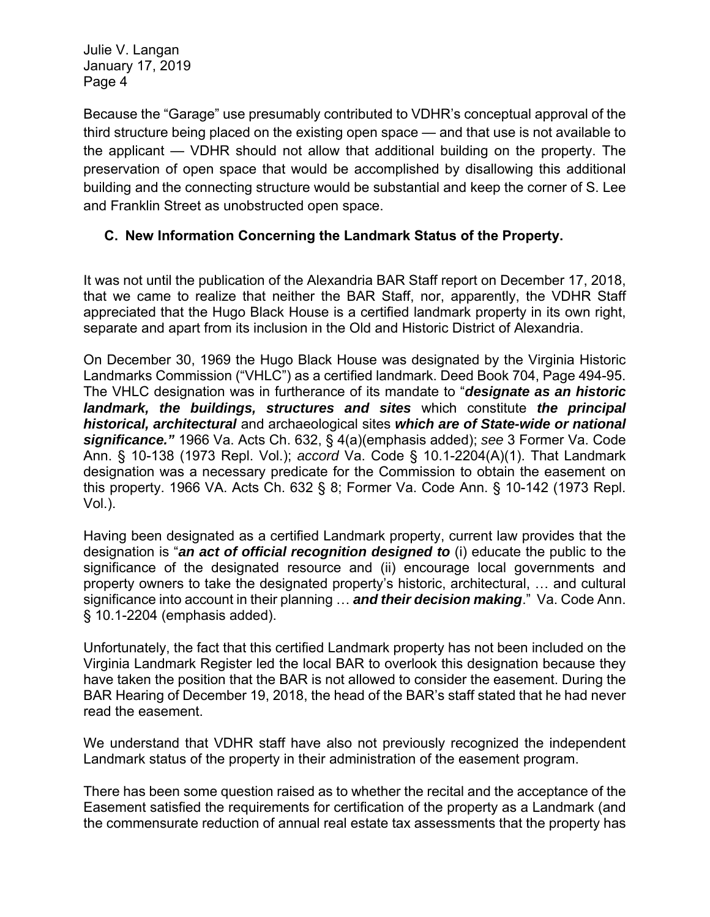Because the "Garage" use presumably contributed to VDHR's conceptual approval of the third structure being placed on the existing open space — and that use is not available to the applicant — VDHR should not allow that additional building on the property. The preservation of open space that would be accomplished by disallowing this additional building and the connecting structure would be substantial and keep the corner of S. Lee and Franklin Street as unobstructed open space.

### **C. New Information Concerning the Landmark Status of the Property.**

It was not until the publication of the Alexandria BAR Staff report on December 17, 2018, that we came to realize that neither the BAR Staff, nor, apparently, the VDHR Staff appreciated that the Hugo Black House is a certified landmark property in its own right, separate and apart from its inclusion in the Old and Historic District of Alexandria.

On December 30, 1969 the Hugo Black House was designated by the Virginia Historic Landmarks Commission ("VHLC") as a certified landmark. Deed Book 704, Page 494-95. The VHLC designation was in furtherance of its mandate to "*designate as an historic landmark, the buildings, structures and sites* which constitute *the principal historical, architectural* and archaeological sites *which are of State-wide or national significance."* 1966 Va. Acts Ch. 632, § 4(a)(emphasis added); *see* 3 Former Va. Code Ann. § 10-138 (1973 Repl. Vol.); *accord* Va. Code § 10.1-2204(A)(1). That Landmark designation was a necessary predicate for the Commission to obtain the easement on this property. 1966 VA. Acts Ch. 632 § 8; Former Va. Code Ann. § 10-142 (1973 Repl. Vol.).

Having been designated as a certified Landmark property, current law provides that the designation is "*an act of official recognition designed to* (i) educate the public to the significance of the designated resource and (ii) encourage local governments and property owners to take the designated property's historic, architectural, … and cultural significance into account in their planning … *and their decision making*." Va. Code Ann. § 10.1-2204 (emphasis added).

Unfortunately, the fact that this certified Landmark property has not been included on the Virginia Landmark Register led the local BAR to overlook this designation because they have taken the position that the BAR is not allowed to consider the easement. During the BAR Hearing of December 19, 2018, the head of the BAR's staff stated that he had never read the easement.

We understand that VDHR staff have also not previously recognized the independent Landmark status of the property in their administration of the easement program.

There has been some question raised as to whether the recital and the acceptance of the Easement satisfied the requirements for certification of the property as a Landmark (and the commensurate reduction of annual real estate tax assessments that the property has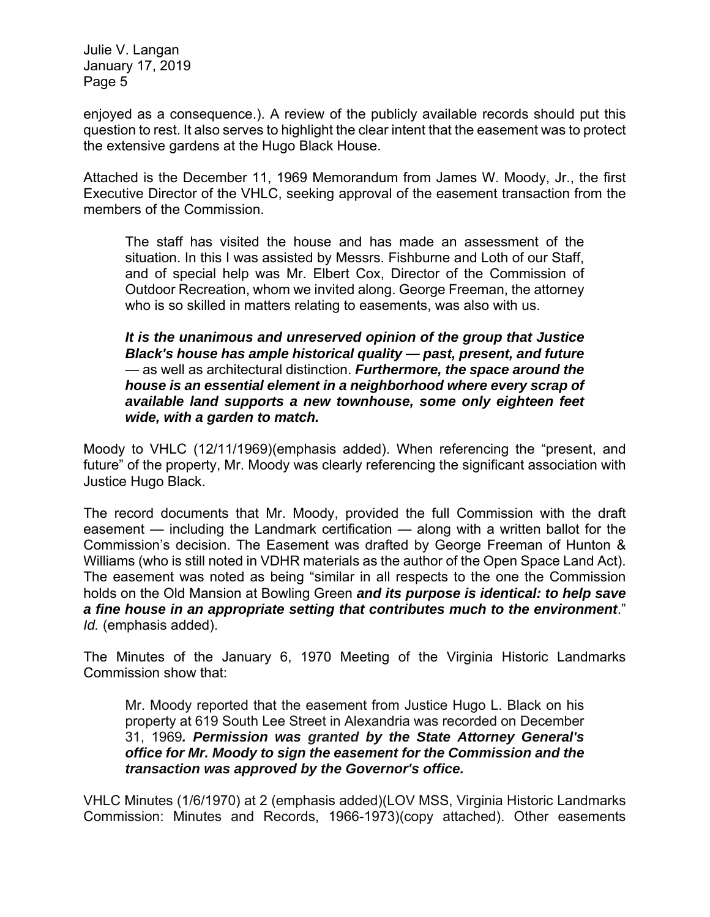enjoyed as a consequence.). A review of the publicly available records should put this question to rest. It also serves to highlight the clear intent that the easement was to protect the extensive gardens at the Hugo Black House.

Attached is the December 11, 1969 Memorandum from James W. Moody, Jr., the first Executive Director of the VHLC, seeking approval of the easement transaction from the members of the Commission.

The staff has visited the house and has made an assessment of the situation. In this I was assisted by Messrs. Fishburne and Loth of our Staff, and of special help was Mr. Elbert Cox, Director of the Commission of Outdoor Recreation, whom we invited along. George Freeman, the attorney who is so skilled in matters relating to easements, was also with us.

*It is the unanimous and unreserved opinion of the group that Justice Black's house has ample historical quality — past, present, and future*  — as well as architectural distinction. *Furthermore, the space around the house is an essential element in a neighborhood where every scrap of available land supports a new townhouse, some only eighteen feet wide, with a garden to match.*

Moody to VHLC (12/11/1969)(emphasis added). When referencing the "present, and future" of the property, Mr. Moody was clearly referencing the significant association with Justice Hugo Black.

The record documents that Mr. Moody, provided the full Commission with the draft easement — including the Landmark certification — along with a written ballot for the Commission's decision. The Easement was drafted by George Freeman of Hunton & Williams (who is still noted in VDHR materials as the author of the Open Space Land Act). The easement was noted as being "similar in all respects to the one the Commission holds on the Old Mansion at Bowling Green *and its purpose is identical: to help save a fine house in an appropriate setting that contributes much to the environment*." *Id.* (emphasis added).

The Minutes of the January 6, 1970 Meeting of the Virginia Historic Landmarks Commission show that:

Mr. Moody reported that the easement from Justice Hugo L. Black on his property at 619 South Lee Street in Alexandria was recorded on December 31, 1969*. Permission was granted by the State Attorney General's office for Mr. Moody to sign the easement for the Commission and the transaction was approved by the Governor's office.*

VHLC Minutes (1/6/1970) at 2 (emphasis added)(LOV MSS, Virginia Historic Landmarks Commission: Minutes and Records, 1966-1973)(copy attached). Other easements